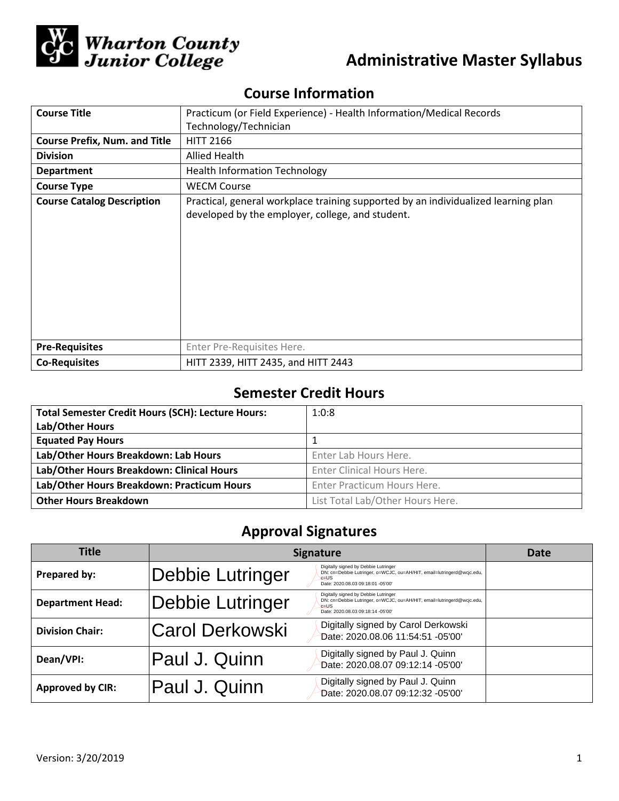

# **Administrative Master Syllabus**

# **Course Information**

| <b>Course Title</b>                  | Practicum (or Field Experience) - Health Information/Medical Records                                                                   |  |  |  |
|--------------------------------------|----------------------------------------------------------------------------------------------------------------------------------------|--|--|--|
|                                      | Technology/Technician                                                                                                                  |  |  |  |
| <b>Course Prefix, Num. and Title</b> | <b>HITT 2166</b>                                                                                                                       |  |  |  |
| <b>Division</b>                      | Allied Health                                                                                                                          |  |  |  |
| <b>Department</b>                    | <b>Health Information Technology</b>                                                                                                   |  |  |  |
| <b>Course Type</b>                   | <b>WECM Course</b>                                                                                                                     |  |  |  |
| <b>Course Catalog Description</b>    | Practical, general workplace training supported by an individualized learning plan<br>developed by the employer, college, and student. |  |  |  |
| <b>Pre-Requisites</b>                | Enter Pre-Requisites Here.                                                                                                             |  |  |  |
| <b>Co-Requisites</b>                 | HITT 2339, HITT 2435, and HITT 2443                                                                                                    |  |  |  |

## **Semester Credit Hours**

| <b>Total Semester Credit Hours (SCH): Lecture Hours:</b><br>Lab/Other Hours | 1:0:8                            |
|-----------------------------------------------------------------------------|----------------------------------|
| <b>Equated Pay Hours</b>                                                    |                                  |
| Lab/Other Hours Breakdown: Lab Hours                                        | Enter Lab Hours Here.            |
| Lab/Other Hours Breakdown: Clinical Hours                                   | Enter Clinical Hours Here.       |
| Lab/Other Hours Breakdown: Practicum Hours                                  | Enter Practicum Hours Here.      |
| <b>Other Hours Breakdown</b>                                                | List Total Lab/Other Hours Here. |

# **Approval Signatures**

| <b>Title</b>            | <b>Signature</b> |                                                                                                                                                                 | Date |
|-------------------------|------------------|-----------------------------------------------------------------------------------------------------------------------------------------------------------------|------|
| Prepared by:            | Debbie Lutringer | Digitally signed by Debbie Lutringer<br>DN: cn=Debbie Lutringer, o=WCJC, ou=AH/HIT, email=lutringerd@wcjc.edu,<br>$c = US$<br>Date: 2020.08.03 09:18:01 -05'00' |      |
| <b>Department Head:</b> | Debbie Lutringer | Digitally signed by Debbie Lutringer<br>DN: cn=Debbie Lutringer, o=WCJC, ou=AH/HIT, email=lutringerd@wcjc.edu,<br>$c = US$<br>Date: 2020.08.03 09:18:14 -05'00' |      |
| <b>Division Chair:</b>  | Carol Derkowski  | Digitally signed by Carol Derkowski<br>Date: 2020.08.06 11:54:51 -05'00'                                                                                        |      |
| Dean/VPI:               | Paul J. Quinn    | Digitally signed by Paul J. Quinn<br>Date: 2020.08.07 09:12:14 -05'00'                                                                                          |      |
| <b>Approved by CIR:</b> | Paul J. Quinn    | Digitally signed by Paul J. Quinn<br>Date: 2020.08.07 09:12:32 -05'00'                                                                                          |      |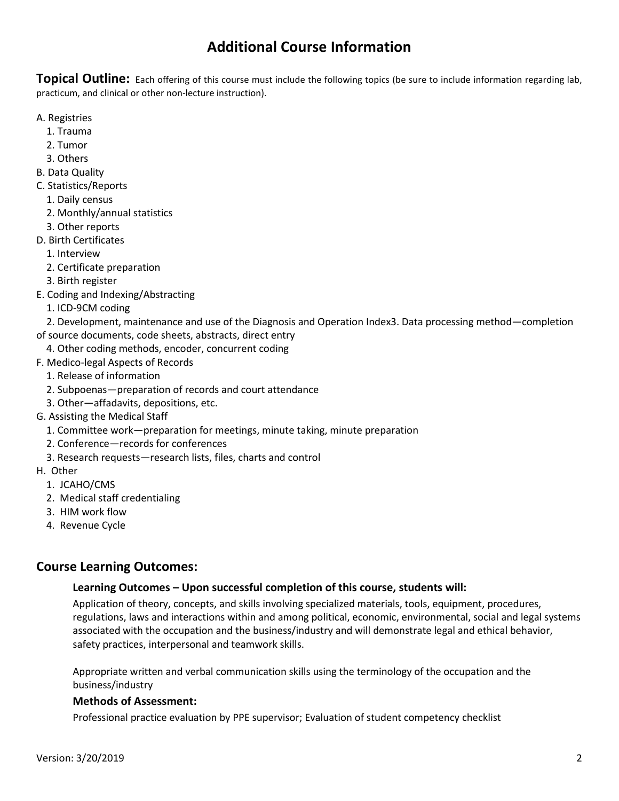# **Additional Course Information**

**Topical Outline:** Each offering of this course must include the following topics (be sure to include information regarding lab, practicum, and clinical or other non-lecture instruction).

- A. Registries
	- 1. Trauma
	- 2. Tumor
	- 3. Others
- B. Data Quality
- C. Statistics/Reports
	- 1. Daily census
	- 2. Monthly/annual statistics
	- 3. Other reports
- D. Birth Certificates
	- 1. Interview
	- 2. Certificate preparation
	- 3. Birth register
- E. Coding and Indexing/Abstracting
	- 1. ICD-9CM coding

 2. Development, maintenance and use of the Diagnosis and Operation Index3. Data processing method—completion of source documents, code sheets, abstracts, direct entry

- 4. Other coding methods, encoder, concurrent coding
- F. Medico-legal Aspects of Records
	- 1. Release of information
	- 2. Subpoenas—preparation of records and court attendance
	- 3. Other—affadavits, depositions, etc.
- G. Assisting the Medical Staff
	- 1. Committee work—preparation for meetings, minute taking, minute preparation
	- 2. Conference—records for conferences
	- 3. Research requests—research lists, files, charts and control
- H. Other
	- 1. JCAHO/CMS
	- 2. Medical staff credentialing
	- 3. HIM work flow
	- 4. Revenue Cycle

### **Course Learning Outcomes:**

#### **Learning Outcomes – Upon successful completion of this course, students will:**

Application of theory, concepts, and skills involving specialized materials, tools, equipment, procedures, regulations, laws and interactions within and among political, economic, environmental, social and legal systems associated with the occupation and the business/industry and will demonstrate legal and ethical behavior, safety practices, interpersonal and teamwork skills.

Appropriate written and verbal communication skills using the terminology of the occupation and the business/industry

#### **Methods of Assessment:**

Professional practice evaluation by PPE supervisor; Evaluation of student competency checklist